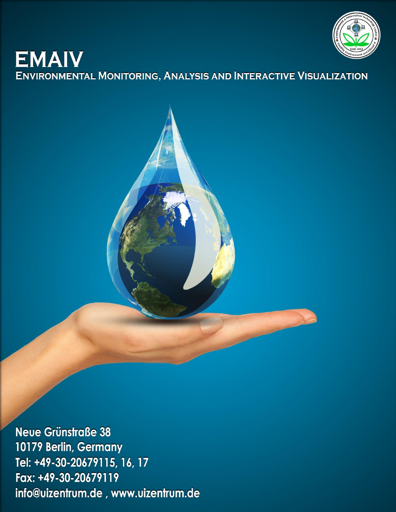

# **EMAIV ENVIRONMENTAL MONITORING, ANALYSIS AND INTERACTIVE VISUALIZATION**

**Neue Grünstraße 38** 10179 Berlin, Germany Tel: +49-30-20679115, 16, 17 Fax: +49-30-20679119 info@uizentrum.de, www.uizentrum.de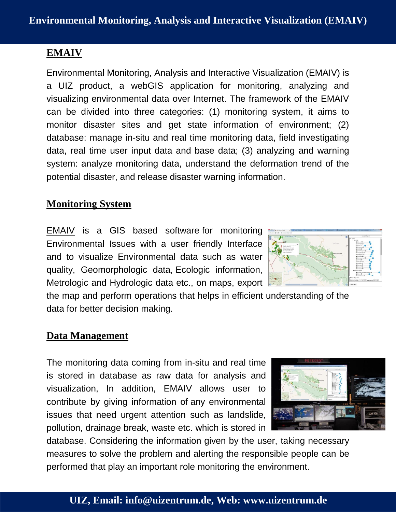# **EMAIV**

Environmental Monitoring, Analysis and Interactive Visualization (EMAIV) is a UIZ product, a webGIS application for monitoring, analyzing and visualizing environmental data over Internet. The framework of the EMAIV can be divided into three categories: (1) monitoring system, it aims to monitor disaster sites and get state information of environment; (2) database: manage in-situ and real time monitoring data, field investigating data, real time user input data and base data; (3) analyzing and warning system: analyze monitoring data, understand the deformation trend of the potential disaster, and release disaster warning information.

## **Monitoring System**

EMAIV is a GIS based software for monitoring Environmental Issues with a user friendly Interface and to visualize Environmental data such as water quality, Geomorphologic data, Ecologic information, Metrologic and Hydrologic data etc., on maps, export

the map and perform operations that helps in efficient understanding of the data for better decision making.

### **Data Management**

The monitoring data coming from in-situ and real time is stored in database as raw data for analysis and visualization, In addition, EMAIV allows user to contribute by giving information of any environmental issues that need urgent attention such as landslide, pollution, drainage break, waste etc. which is stored in



database. Considering the information given by the user, taking necessary measures to solve the problem and alerting the responsible people can be performed that play an important role monitoring the environment.